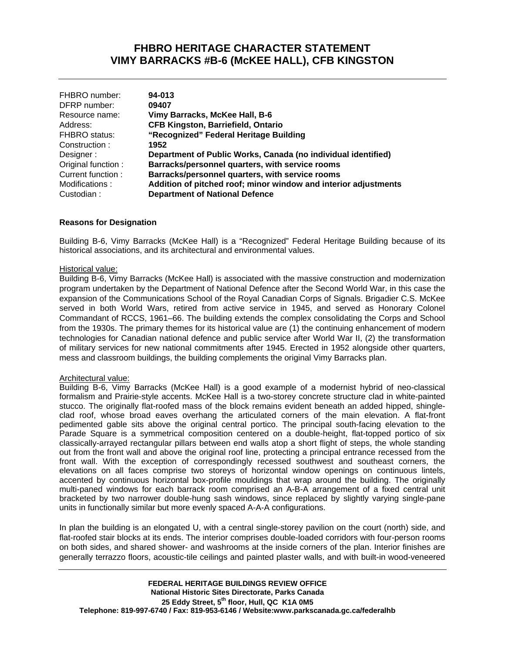## **FHBRO HERITAGE CHARACTER STATEMENT VIMY BARRACKS #B-6 (McKEE HALL), CFB KINGSTON**

| 94-013                                                          |
|-----------------------------------------------------------------|
| 09407                                                           |
| Vimy Barracks, McKee Hall, B-6                                  |
| <b>CFB Kingston, Barriefield, Ontario</b>                       |
| "Recognized" Federal Heritage Building                          |
| 1952                                                            |
| Department of Public Works, Canada (no individual identified)   |
| Barracks/personnel quarters, with service rooms                 |
| Barracks/personnel quarters, with service rooms                 |
| Addition of pitched roof; minor window and interior adjustments |
| <b>Department of National Defence</b>                           |
|                                                                 |

### **Reasons for Designation**

Building B-6, Vimy Barracks (McKee Hall) is a "Recognized" Federal Heritage Building because of its historical associations, and its architectural and environmental values.

#### Historical value:

Building B-6, Vimy Barracks (McKee Hall) is associated with the massive construction and modernization program undertaken by the Department of National Defence after the Second World War, in this case the expansion of the Communications School of the Royal Canadian Corps of Signals. Brigadier C.S. McKee served in both World Wars, retired from active service in 1945, and served as Honorary Colonel Commandant of RCCS, 1961–66. The building extends the complex consolidating the Corps and School from the 1930s. The primary themes for its historical value are (1) the continuing enhancement of modern technologies for Canadian national defence and public service after World War II, (2) the transformation of military services for new national commitments after 1945. Erected in 1952 alongside other quarters, mess and classroom buildings, the building complements the original Vimy Barracks plan.

#### Architectural value:

Building B-6, Vimy Barracks (McKee Hall) is a good example of a modernist hybrid of neo-classical formalism and Prairie-style accents. McKee Hall is a two-storey concrete structure clad in white-painted stucco. The originally flat-roofed mass of the block remains evident beneath an added hipped, shingleclad roof, whose broad eaves overhang the articulated corners of the main elevation. A flat-front pedimented gable sits above the original central portico. The principal south-facing elevation to the Parade Square is a symmetrical composition centered on a double-height, flat-topped portico of six classically-arrayed rectangular pillars between end walls atop a short flight of steps, the whole standing out from the front wall and above the original roof line, protecting a principal entrance recessed from the front wall. With the exception of correspondingly recessed southwest and southeast corners, the elevations on all faces comprise two storeys of horizontal window openings on continuous lintels, accented by continuous horizontal box-profile mouldings that wrap around the building. The originally multi-paned windows for each barrack room comprised an A-B-A arrangement of a fixed central unit bracketed by two narrower double-hung sash windows, since replaced by slightly varying single-pane units in functionally similar but more evenly spaced A-A-A configurations.

In plan the building is an elongated U, with a central single-storey pavilion on the court (north) side, and flat-roofed stair blocks at its ends. The interior comprises double-loaded corridors with four-person rooms on both sides, and shared shower- and washrooms at the inside corners of the plan. Interior finishes are generally terrazzo floors, acoustic-tile ceilings and painted plaster walls, and with built-in wood-veneered